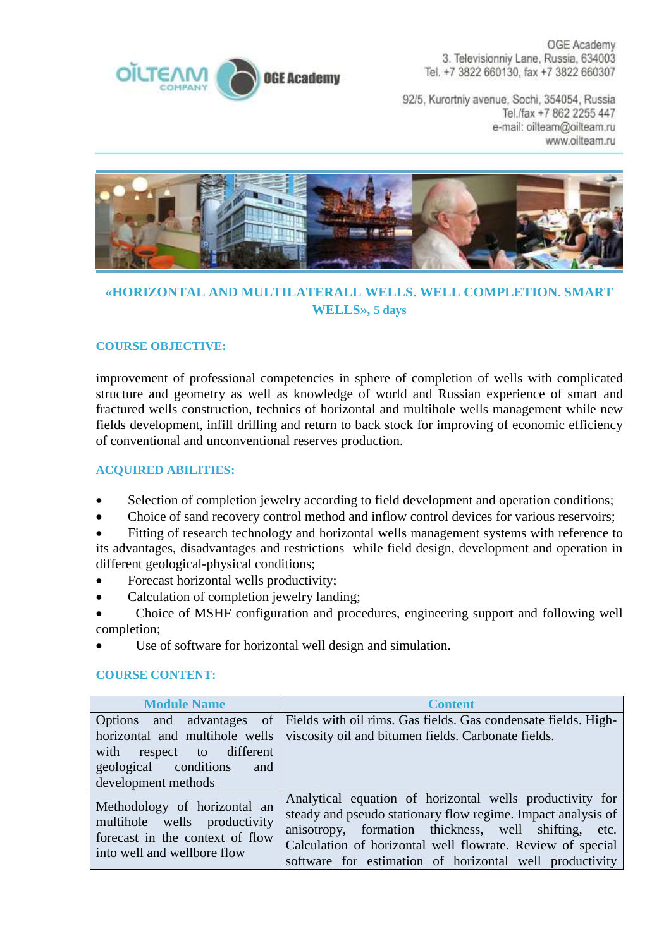

OGE Academy 3. Televisionniv Lane, Russia, 634003 Tel. +7 3822 660130, fax +7 3822 660307

92/5, Kurortniy avenue, Sochi, 354054, Russia Tel./fax +7 862 2255 447 e-mail: oilteam@oilteam.ru www.oilteam.ru



## **«HORIZONTAL AND MULTILATERALL WELLS. WELL COMPLETION. SMART WELLS», 5 days**

## **COURSE OBJECTIVE:**

improvement of professional competencies in sphere of completion of wells with complicated structure and geometry as well as knowledge of world and Russian experience of smart and fractured wells construction, technics of horizontal and multihole wells management while new fields development, infill drilling and return to back stock for improving of economic efficiency of conventional and unconventional reserves production.

## **ACQUIRED ABILITIES:**

- Selection of completion jewelry according to field development and operation conditions;
- Choice of sand recovery control method and inflow control devices for various reservoirs;
- Fitting of research technology and horizontal wells management systems with reference to its advantages, disadvantages and restrictions while field design, development and operation in different geological-physical conditions;
- Forecast horizontal wells productivity;
- Calculation of completion jewelry landing;
- Choice of MSHF configuration and procedures, engineering support and following well completion;
- Use of software for horizontal well design and simulation.

## **COURSE CONTENT:**

| <b>Module Name</b>                                                                  | <b>Content</b>                                                                                                                                                                   |
|-------------------------------------------------------------------------------------|----------------------------------------------------------------------------------------------------------------------------------------------------------------------------------|
| with respect to different<br>geological conditions<br>and                           | Options and advantages of Fields with oil rims. Gas fields. Gas condensate fields. High-<br>horizontal and multihole wells   viscosity oil and bitumen fields. Carbonate fields. |
| development methods<br>Methodology of horizontal an<br>multihole wells productivity | Analytical equation of horizontal wells productivity for<br>steady and pseudo stationary flow regime. Impact analysis of                                                         |
| forecast in the context of flow<br>into well and wellbore flow                      | anisotropy, formation thickness, well shifting, etc.<br>Calculation of horizontal well flowrate. Review of special<br>software for estimation of horizontal well productivity    |